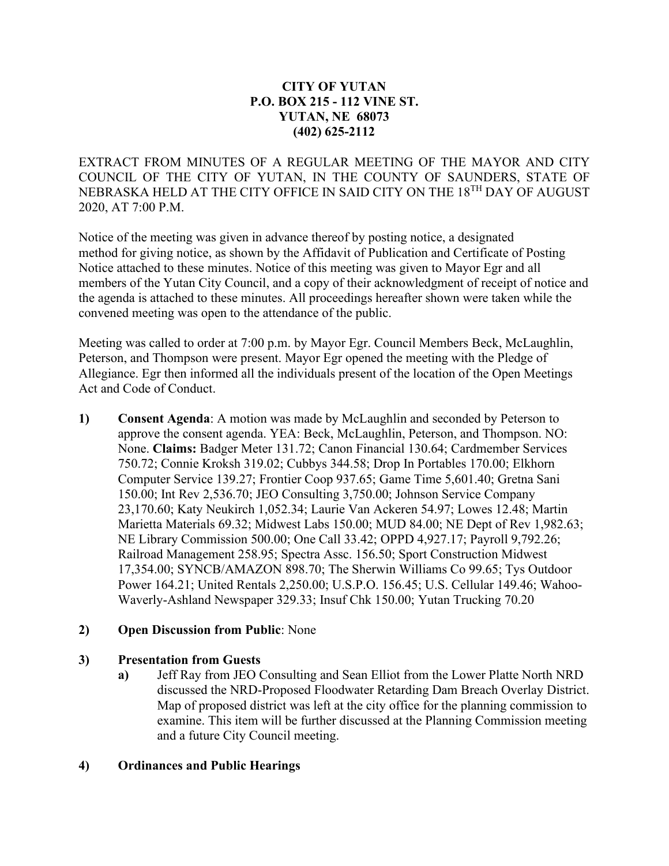## **CITY OF YUTAN P.O. BOX 215 - 112 VINE ST. YUTAN, NE 68073 (402) 625-2112**

EXTRACT FROM MINUTES OF A REGULAR MEETING OF THE MAYOR AND CITY COUNCIL OF THE CITY OF YUTAN, IN THE COUNTY OF SAUNDERS, STATE OF NEBRASKA HELD AT THE CITY OFFICE IN SAID CITY ON THE 18TH DAY OF AUGUST 2020, AT 7:00 P.M.

Notice of the meeting was given in advance thereof by posting notice, a designated method for giving notice, as shown by the Affidavit of Publication and Certificate of Posting Notice attached to these minutes. Notice of this meeting was given to Mayor Egr and all members of the Yutan City Council, and a copy of their acknowledgment of receipt of notice and the agenda is attached to these minutes. All proceedings hereafter shown were taken while the convened meeting was open to the attendance of the public.

Meeting was called to order at 7:00 p.m. by Mayor Egr. Council Members Beck, McLaughlin, Peterson, and Thompson were present. Mayor Egr opened the meeting with the Pledge of Allegiance. Egr then informed all the individuals present of the location of the Open Meetings Act and Code of Conduct.

**1) Consent Agenda**: A motion was made by McLaughlin and seconded by Peterson to approve the consent agenda. YEA: Beck, McLaughlin, Peterson, and Thompson. NO: None. **Claims:** Badger Meter 131.72; Canon Financial 130.64; Cardmember Services 750.72; Connie Kroksh 319.02; Cubbys 344.58; Drop In Portables 170.00; Elkhorn Computer Service 139.27; Frontier Coop 937.65; Game Time 5,601.40; Gretna Sani 150.00; Int Rev 2,536.70; JEO Consulting 3,750.00; Johnson Service Company 23,170.60; Katy Neukirch 1,052.34; Laurie Van Ackeren 54.97; Lowes 12.48; Martin Marietta Materials 69.32; Midwest Labs 150.00; MUD 84.00; NE Dept of Rev 1,982.63; NE Library Commission 500.00; One Call 33.42; OPPD 4,927.17; Payroll 9,792.26; Railroad Management 258.95; Spectra Assc. 156.50; Sport Construction Midwest 17,354.00; SYNCB/AMAZON 898.70; The Sherwin Williams Co 99.65; Tys Outdoor Power 164.21; United Rentals 2,250.00; U.S.P.O. 156.45; U.S. Cellular 149.46; Wahoo-Waverly-Ashland Newspaper 329.33; Insuf Chk 150.00; Yutan Trucking 70.20

### **2) Open Discussion from Public**: None

### **3) Presentation from Guests**

**a)** Jeff Ray from JEO Consulting and Sean Elliot from the Lower Platte North NRD discussed the NRD-Proposed Floodwater Retarding Dam Breach Overlay District. Map of proposed district was left at the city office for the planning commission to examine. This item will be further discussed at the Planning Commission meeting and a future City Council meeting.

## **4) Ordinances and Public Hearings**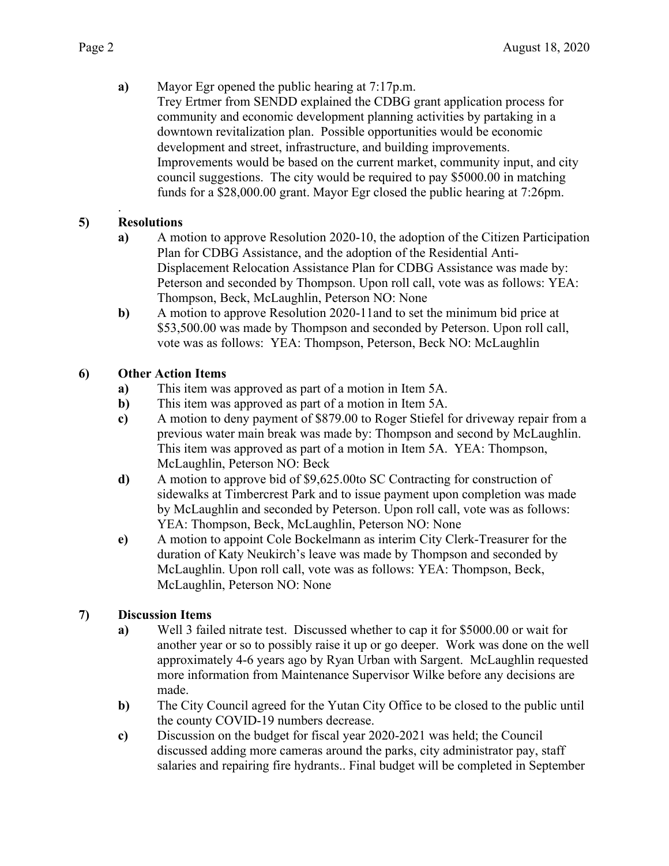**a)** Mayor Egr opened the public hearing at 7:17p.m. Trey Ertmer from SENDD explained the CDBG grant application process for community and economic development planning activities by partaking in a downtown revitalization plan. Possible opportunities would be economic development and street, infrastructure, and building improvements. Improvements would be based on the current market, community input, and city council suggestions. The city would be required to pay \$5000.00 in matching funds for a \$28,000.00 grant. Mayor Egr closed the public hearing at 7:26pm.

#### . **5) Resolutions**

- **a)** A motion to approve Resolution 2020-10, the adoption of the Citizen Participation Plan for CDBG Assistance, and the adoption of the Residential Anti-Displacement Relocation Assistance Plan for CDBG Assistance was made by: Peterson and seconded by Thompson. Upon roll call, vote was as follows: YEA: Thompson, Beck, McLaughlin, Peterson NO: None
- **b)** A motion to approve Resolution 2020-11and to set the minimum bid price at \$53,500.00 was made by Thompson and seconded by Peterson. Upon roll call, vote was as follows: YEA: Thompson, Peterson, Beck NO: McLaughlin

# **6) Other Action Items**

- **a)** This item was approved as part of a motion in Item 5A.
- **b)** This item was approved as part of a motion in Item 5A.
- **c)** A motion to deny payment of \$879.00 to Roger Stiefel for driveway repair from a previous water main break was made by: Thompson and second by McLaughlin. This item was approved as part of a motion in Item 5A. YEA: Thompson, McLaughlin, Peterson NO: Beck
- **d)** A motion to approve bid of \$9,625.00to SC Contracting for construction of sidewalks at Timbercrest Park and to issue payment upon completion was made by McLaughlin and seconded by Peterson. Upon roll call, vote was as follows: YEA: Thompson, Beck, McLaughlin, Peterson NO: None
- **e)** A motion to appoint Cole Bockelmann as interim City Clerk-Treasurer for the duration of Katy Neukirch's leave was made by Thompson and seconded by McLaughlin. Upon roll call, vote was as follows: YEA: Thompson, Beck, McLaughlin, Peterson NO: None

# **7) Discussion Items**

- **a)** Well 3 failed nitrate test. Discussed whether to cap it for \$5000.00 or wait for another year or so to possibly raise it up or go deeper. Work was done on the well approximately 4-6 years ago by Ryan Urban with Sargent. McLaughlin requested more information from Maintenance Supervisor Wilke before any decisions are made.
- **b)** The City Council agreed for the Yutan City Office to be closed to the public until the county COVID-19 numbers decrease.
- **c)** Discussion on the budget for fiscal year 2020-2021 was held; the Council discussed adding more cameras around the parks, city administrator pay, staff salaries and repairing fire hydrants.. Final budget will be completed in September